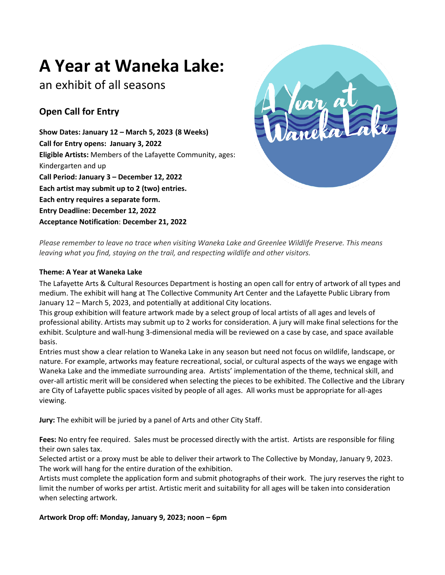# **A Year at Waneka Lake:**

## an exhibit of all seasons

## **Open Call for Entry**

**Show Dates: January 12 – March 5, 2023 (8 Weeks) Call for Entry opens: January 3, 2022 Eligible Artists:** Members of the Lafayette Community, ages: Kindergarten and up **Call Period: January 3 – December 12, 2022 Each artist may submit up to 2 (two) entries. Each entry requires a separate form. Entry Deadline: December 12, 2022 Acceptance Notification**: **December 21, 2022**



*Please remember to leave no trace when visiting Waneka Lake and Greenlee Wildlife Preserve. This means leaving what you find, staying on the trail, and respecting wildlife and other visitors.*

### **Theme: A Year at Waneka Lake**

The Lafayette Arts & Cultural Resources Department is hosting an open call for entry of artwork of all types and medium. The exhibit will hang at The Collective Community Art Center and the Lafayette Public Library from January 12 – March 5, 2023, and potentially at additional City locations.

This group exhibition will feature artwork made by a select group of local artists of all ages and levels of professional ability. Artists may submit up to 2 works for consideration. A jury will make final selections for the exhibit. Sculpture and wall-hung 3-dimensional media will be reviewed on a case by case, and space available basis.

Entries must show a clear relation to Waneka Lake in any season but need not focus on wildlife, landscape, or nature. For example, artworks may feature recreational, social, or cultural aspects of the ways we engage with Waneka Lake and the immediate surrounding area. Artists' implementation of the theme, technical skill, and over-all artistic merit will be considered when selecting the pieces to be exhibited. The Collective and the Library are City of Lafayette public spaces visited by people of all ages. All works must be appropriate for all-ages viewing.

**Jury:** The exhibit will be juried by a panel of Arts and other City Staff.

**Fees:** No entry fee required. Sales must be processed directly with the artist. Artists are responsible for filing their own sales tax.

Selected artist or a proxy must be able to deliver their artwork to The Collective by Monday, January 9, 2023. The work will hang for the entire duration of the exhibition.

Artists must complete the application form and submit photographs of their work. The jury reserves the right to limit the number of works per artist. Artistic merit and suitability for all ages will be taken into consideration when selecting artwork.

**Artwork Drop off: Monday, January 9, 2023; noon – 6pm**